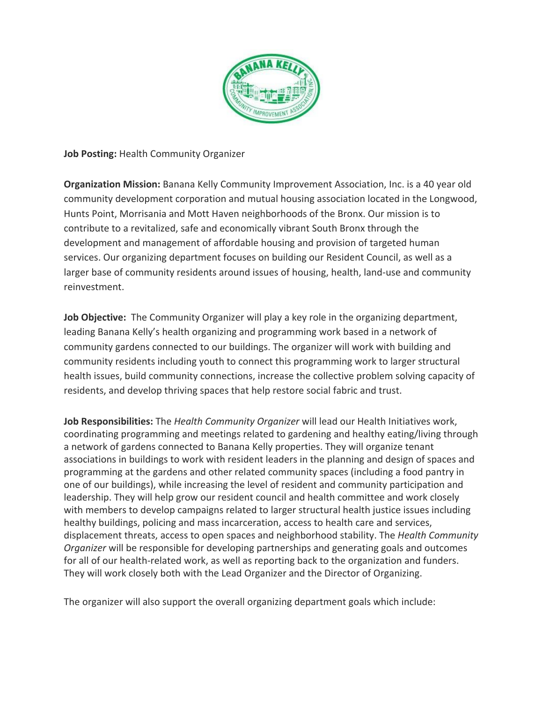

**Job Posting:** Health Community Organizer

**Organization Mission:** Banana Kelly Community Improvement Association, Inc. is a 40 year old community development corporation and mutual housing association located in the Longwood, Hunts Point, Morrisania and Mott Haven neighborhoods of the Bronx. Our mission is to contribute to a revitalized, safe and economically vibrant South Bronx through the development and management of affordable housing and provision of targeted human services. Our organizing department focuses on building our Resident Council, as well as a larger base of community residents around issues of housing, health, land-use and community reinvestment.

Job Objective: The Community Organizer will play a key role in the organizing department, leading Banana Kelly's health organizing and programming work based in a network of community gardens connected to our buildings. The organizer will work with building and community residents including youth to connect this programming work to larger structural health issues, build community connections, increase the collective problem solving capacity of residents, and develop thriving spaces that help restore social fabric and trust.

**Job Responsibilities:** The *Health Community Organizer* will lead our Health Initiatives work, coordinating programming and meetings related to gardening and healthy eating/living through a network of gardens connected to Banana Kelly properties. They will organize tenant associations in buildings to work with resident leaders in the planning and design of spaces and programming at the gardens and other related community spaces (including a food pantry in one of our buildings), while increasing the level of resident and community participation and leadership. They will help grow our resident council and health committee and work closely with members to develop campaigns related to larger structural health justice issues including healthy buildings, policing and mass incarceration, access to health care and services, displacement threats, access to open spaces and neighborhood stability. The *Health Community Organizer* will be responsible for developing partnerships and generating goals and outcomes for all of our health-related work, as well as reporting back to the organization and funders. They will work closely both with the Lead Organizer and the Director of Organizing.

The organizer will also support the overall organizing department goals which include: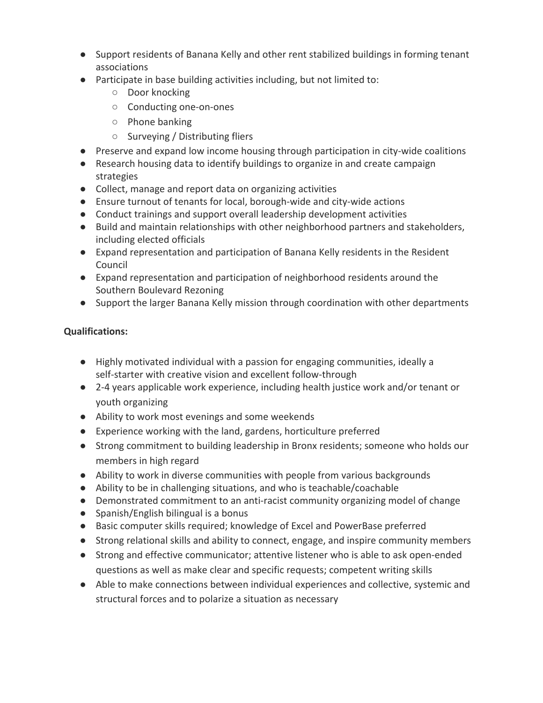- Support residents of Banana Kelly and other rent stabilized buildings in forming tenant associations
- Participate in base building activities including, but not limited to:
	- Door knocking
	- Conducting one-on-ones
	- Phone banking
	- Surveying / Distributing fliers
- Preserve and expand low income housing through participation in city-wide coalitions
- Research housing data to identify buildings to organize in and create campaign strategies
- Collect, manage and report data on organizing activities
- Ensure turnout of tenants for local, borough-wide and city-wide actions
- Conduct trainings and support overall leadership development activities
- Build and maintain relationships with other neighborhood partners and stakeholders, including elected officials
- Expand representation and participation of Banana Kelly residents in the Resident Council
- Expand representation and participation of neighborhood residents around the Southern Boulevard Rezoning
- Support the larger Banana Kelly mission through coordination with other departments

## **Qualifications:**

- Highly motivated individual with a passion for engaging communities, ideally a self-starter with creative vision and excellent follow-through
- 2-4 years applicable work experience, including health justice work and/or tenant or youth organizing
- Ability to work most evenings and some weekends
- Experience working with the land, gardens, horticulture preferred
- Strong commitment to building leadership in Bronx residents; someone who holds our members in high regard
- Ability to work in diverse communities with people from various backgrounds
- Ability to be in challenging situations, and who is teachable/coachable
- Demonstrated commitment to an anti-racist community organizing model of change
- Spanish/English bilingual is a bonus
- Basic computer skills required; knowledge of Excel and PowerBase preferred
- Strong relational skills and ability to connect, engage, and inspire community members
- Strong and effective communicator; attentive listener who is able to ask open-ended questions as well as make clear and specific requests; competent writing skills
- Able to make connections between individual experiences and collective, systemic and structural forces and to polarize a situation as necessary